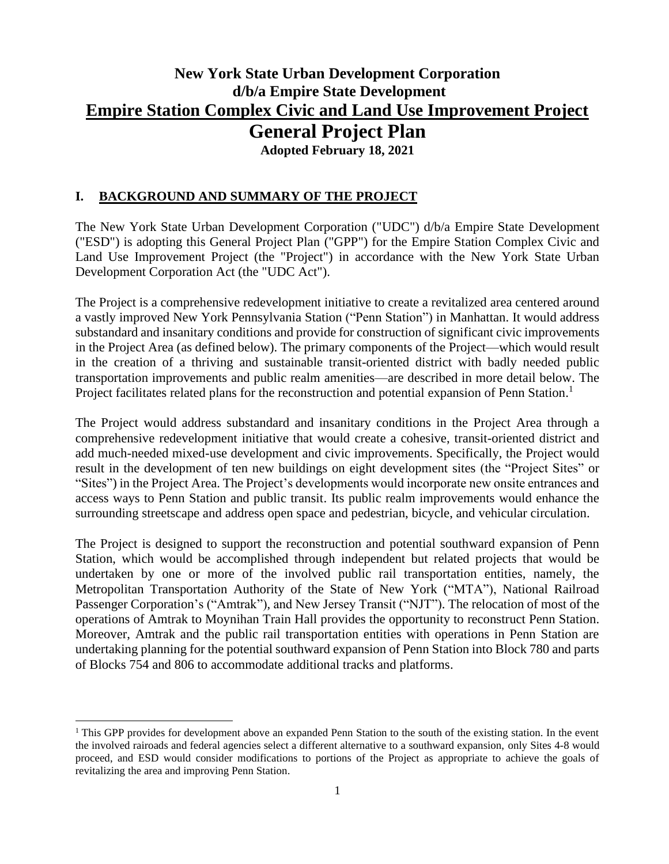## **New York State Urban Development Corporation d/b/a Empire State Development Empire Station Complex Civic and Land Use Improvement Project General Project Plan Adopted February 18, 2021**

#### **I. BACKGROUND AND SUMMARY OF THE PROJECT**

The New York State Urban Development Corporation ("UDC") d/b/a Empire State Development ("ESD") is adopting this General Project Plan ("GPP") for the Empire Station Complex Civic and Land Use Improvement Project (the "Project") in accordance with the New York State Urban Development Corporation Act (the "UDC Act").

The Project is a comprehensive redevelopment initiative to create a revitalized area centered around a vastly improved New York Pennsylvania Station ("Penn Station") in Manhattan. It would address substandard and insanitary conditions and provide for construction of significant civic improvements in the Project Area (as defined below). The primary components of the Project—which would result in the creation of a thriving and sustainable transit-oriented district with badly needed public transportation improvements and public realm amenities—are described in more detail below. The Project facilitates related plans for the reconstruction and potential expansion of Penn Station.<sup>1</sup>

The Project would address substandard and insanitary conditions in the Project Area through a comprehensive redevelopment initiative that would create a cohesive, transit-oriented district and add much-needed mixed-use development and civic improvements. Specifically, the Project would result in the development of ten new buildings on eight development sites (the "Project Sites" or "Sites") in the Project Area. The Project's developments would incorporate new onsite entrances and access ways to Penn Station and public transit. Its public realm improvements would enhance the surrounding streetscape and address open space and pedestrian, bicycle, and vehicular circulation.

The Project is designed to support the reconstruction and potential southward expansion of Penn Station, which would be accomplished through independent but related projects that would be undertaken by one or more of the involved public rail transportation entities, namely, the Metropolitan Transportation Authority of the State of New York ("MTA"), National Railroad Passenger Corporation's ("Amtrak"), and New Jersey Transit ("NJT"). The relocation of most of the operations of Amtrak to Moynihan Train Hall provides the opportunity to reconstruct Penn Station. Moreover, Amtrak and the public rail transportation entities with operations in Penn Station are undertaking planning for the potential southward expansion of Penn Station into Block 780 and parts of Blocks 754 and 806 to accommodate additional tracks and platforms.

<sup>&</sup>lt;sup>1</sup> This GPP provides for development above an expanded Penn Station to the south of the existing station. In the event the involved rairoads and federal agencies select a different alternative to a southward expansion, only Sites 4-8 would proceed, and ESD would consider modifications to portions of the Project as appropriate to achieve the goals of revitalizing the area and improving Penn Station.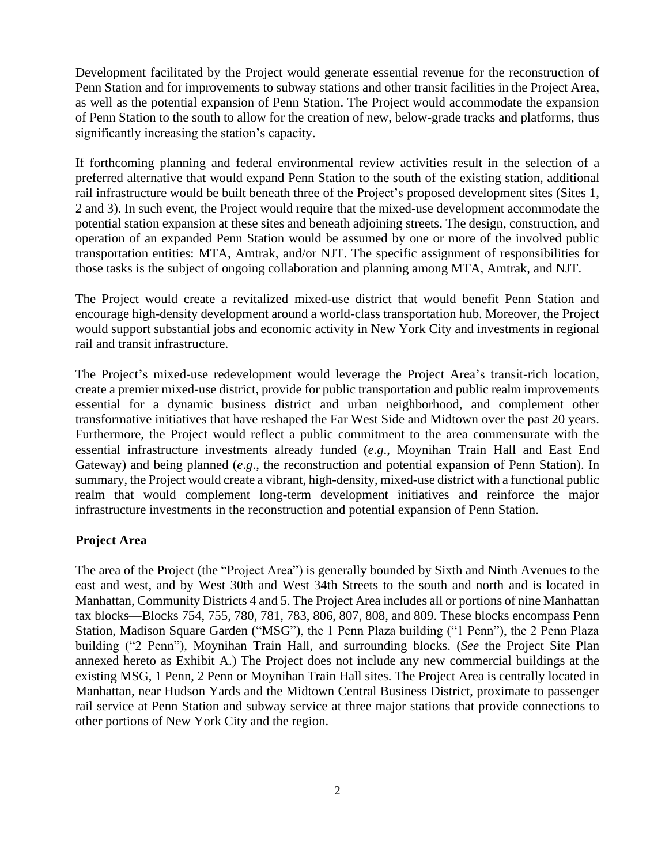Development facilitated by the Project would generate essential revenue for the reconstruction of Penn Station and for improvements to subway stations and other transit facilities in the Project Area, as well as the potential expansion of Penn Station. The Project would accommodate the expansion of Penn Station to the south to allow for the creation of new, below-grade tracks and platforms, thus significantly increasing the station's capacity.

If forthcoming planning and federal environmental review activities result in the selection of a preferred alternative that would expand Penn Station to the south of the existing station, additional rail infrastructure would be built beneath three of the Project's proposed development sites (Sites 1, 2 and 3). In such event, the Project would require that the mixed-use development accommodate the potential station expansion at these sites and beneath adjoining streets. The design, construction, and operation of an expanded Penn Station would be assumed by one or more of the involved public transportation entities: MTA, Amtrak, and/or NJT. The specific assignment of responsibilities for those tasks is the subject of ongoing collaboration and planning among MTA, Amtrak, and NJT.

The Project would create a revitalized mixed-use district that would benefit Penn Station and encourage high-density development around a world-class transportation hub. Moreover, the Project would support substantial jobs and economic activity in New York City and investments in regional rail and transit infrastructure.

The Project's mixed-use redevelopment would leverage the Project Area's transit-rich location, create a premier mixed-use district, provide for public transportation and public realm improvements essential for a dynamic business district and urban neighborhood, and complement other transformative initiatives that have reshaped the Far West Side and Midtown over the past 20 years. Furthermore, the Project would reflect a public commitment to the area commensurate with the essential infrastructure investments already funded (*e*.*g*., Moynihan Train Hall and East End Gateway) and being planned (*e*.*g*., the reconstruction and potential expansion of Penn Station). In summary, the Project would create a vibrant, high-density, mixed-use district with a functional public realm that would complement long-term development initiatives and reinforce the major infrastructure investments in the reconstruction and potential expansion of Penn Station.

#### **Project Area**

The area of the Project (the "Project Area") is generally bounded by Sixth and Ninth Avenues to the east and west, and by West 30th and West 34th Streets to the south and north and is located in Manhattan, Community Districts 4 and 5. The Project Area includes all or portions of nine Manhattan tax blocks—Blocks 754, 755, 780, 781, 783, 806, 807, 808, and 809. These blocks encompass Penn Station, Madison Square Garden ("MSG"), the 1 Penn Plaza building ("1 Penn"), the 2 Penn Plaza building ("2 Penn"), Moynihan Train Hall, and surrounding blocks. (*See* the Project Site Plan annexed hereto as Exhibit A.) The Project does not include any new commercial buildings at the existing MSG, 1 Penn, 2 Penn or Moynihan Train Hall sites. The Project Area is centrally located in Manhattan, near Hudson Yards and the Midtown Central Business District, proximate to passenger rail service at Penn Station and subway service at three major stations that provide connections to other portions of New York City and the region.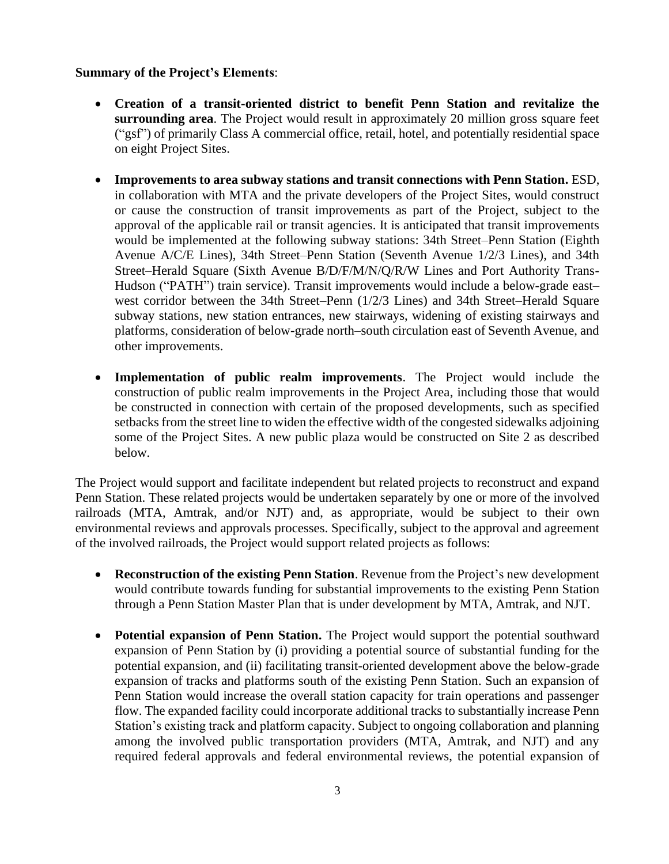#### **Summary of the Project's Elements**:

- **Creation of a transit-oriented district to benefit Penn Station and revitalize the surrounding area**. The Project would result in approximately 20 million gross square feet ("gsf") of primarily Class A commercial office, retail, hotel, and potentially residential space on eight Project Sites.
- **Improvements to area subway stations and transit connections with Penn Station.** ESD, in collaboration with MTA and the private developers of the Project Sites, would construct or cause the construction of transit improvements as part of the Project, subject to the approval of the applicable rail or transit agencies. It is anticipated that transit improvements would be implemented at the following subway stations: 34th Street–Penn Station (Eighth Avenue A/C/E Lines), 34th Street–Penn Station (Seventh Avenue 1/2/3 Lines), and 34th Street–Herald Square (Sixth Avenue B/D/F/M/N/Q/R/W Lines and Port Authority Trans-Hudson ("PATH") train service). Transit improvements would include a below-grade east– west corridor between the 34th Street–Penn (1/2/3 Lines) and 34th Street–Herald Square subway stations, new station entrances, new stairways, widening of existing stairways and platforms, consideration of below-grade north–south circulation east of Seventh Avenue, and other improvements.
- **Implementation of public realm improvements**. The Project would include the construction of public realm improvements in the Project Area, including those that would be constructed in connection with certain of the proposed developments, such as specified setbacks from the street line to widen the effective width of the congested sidewalks adjoining some of the Project Sites. A new public plaza would be constructed on Site 2 as described below.

The Project would support and facilitate independent but related projects to reconstruct and expand Penn Station. These related projects would be undertaken separately by one or more of the involved railroads (MTA, Amtrak, and/or NJT) and, as appropriate, would be subject to their own environmental reviews and approvals processes. Specifically, subject to the approval and agreement of the involved railroads, the Project would support related projects as follows:

- **Reconstruction of the existing Penn Station**. Revenue from the Project's new development would contribute towards funding for substantial improvements to the existing Penn Station through a Penn Station Master Plan that is under development by MTA, Amtrak, and NJT.
- **Potential expansion of Penn Station.** The Project would support the potential southward expansion of Penn Station by (i) providing a potential source of substantial funding for the potential expansion, and (ii) facilitating transit-oriented development above the below-grade expansion of tracks and platforms south of the existing Penn Station. Such an expansion of Penn Station would increase the overall station capacity for train operations and passenger flow. The expanded facility could incorporate additional tracks to substantially increase Penn Station's existing track and platform capacity. Subject to ongoing collaboration and planning among the involved public transportation providers (MTA, Amtrak, and NJT) and any required federal approvals and federal environmental reviews, the potential expansion of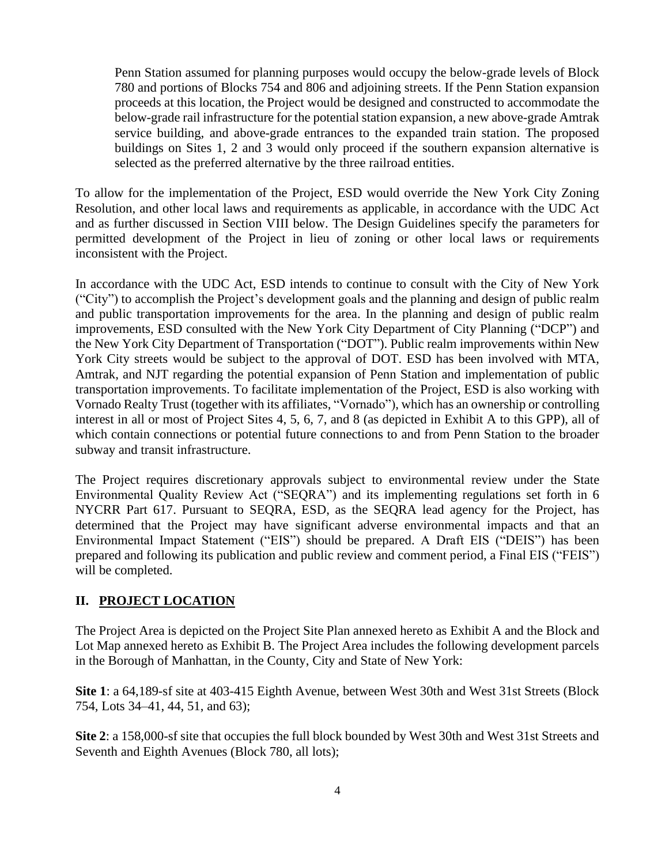Penn Station assumed for planning purposes would occupy the below-grade levels of Block 780 and portions of Blocks 754 and 806 and adjoining streets. If the Penn Station expansion proceeds at this location, the Project would be designed and constructed to accommodate the below-grade rail infrastructure for the potential station expansion, a new above-grade Amtrak service building, and above-grade entrances to the expanded train station. The proposed buildings on Sites 1, 2 and 3 would only proceed if the southern expansion alternative is selected as the preferred alternative by the three railroad entities.

To allow for the implementation of the Project, ESD would override the New York City Zoning Resolution, and other local laws and requirements as applicable, in accordance with the UDC Act and as further discussed in Section VIII below. The Design Guidelines specify the parameters for permitted development of the Project in lieu of zoning or other local laws or requirements inconsistent with the Project.

In accordance with the UDC Act, ESD intends to continue to consult with the City of New York ("City") to accomplish the Project's development goals and the planning and design of public realm and public transportation improvements for the area. In the planning and design of public realm improvements, ESD consulted with the New York City Department of City Planning ("DCP") and the New York City Department of Transportation ("DOT"). Public realm improvements within New York City streets would be subject to the approval of DOT. ESD has been involved with MTA, Amtrak, and NJT regarding the potential expansion of Penn Station and implementation of public transportation improvements. To facilitate implementation of the Project, ESD is also working with Vornado Realty Trust (together with its affiliates, "Vornado"), which has an ownership or controlling interest in all or most of Project Sites 4, 5, 6, 7, and 8 (as depicted in Exhibit A to this GPP), all of which contain connections or potential future connections to and from Penn Station to the broader subway and transit infrastructure.

The Project requires discretionary approvals subject to environmental review under the State Environmental Quality Review Act ("SEQRA") and its implementing regulations set forth in 6 NYCRR Part 617. Pursuant to SEQRA, ESD, as the SEQRA lead agency for the Project, has determined that the Project may have significant adverse environmental impacts and that an Environmental Impact Statement ("EIS") should be prepared. A Draft EIS ("DEIS") has been prepared and following its publication and public review and comment period, a Final EIS ("FEIS") will be completed.

#### **II. PROJECT LOCATION**

The Project Area is depicted on the Project Site Plan annexed hereto as Exhibit A and the Block and Lot Map annexed hereto as Exhibit B. The Project Area includes the following development parcels in the Borough of Manhattan, in the County, City and State of New York:

**Site 1**: a 64,189-sf site at 403-415 Eighth Avenue, between West 30th and West 31st Streets (Block 754, Lots 34–41, 44, 51, and 63);

**Site 2**: a 158,000-sf site that occupies the full block bounded by West 30th and West 31st Streets and Seventh and Eighth Avenues (Block 780, all lots);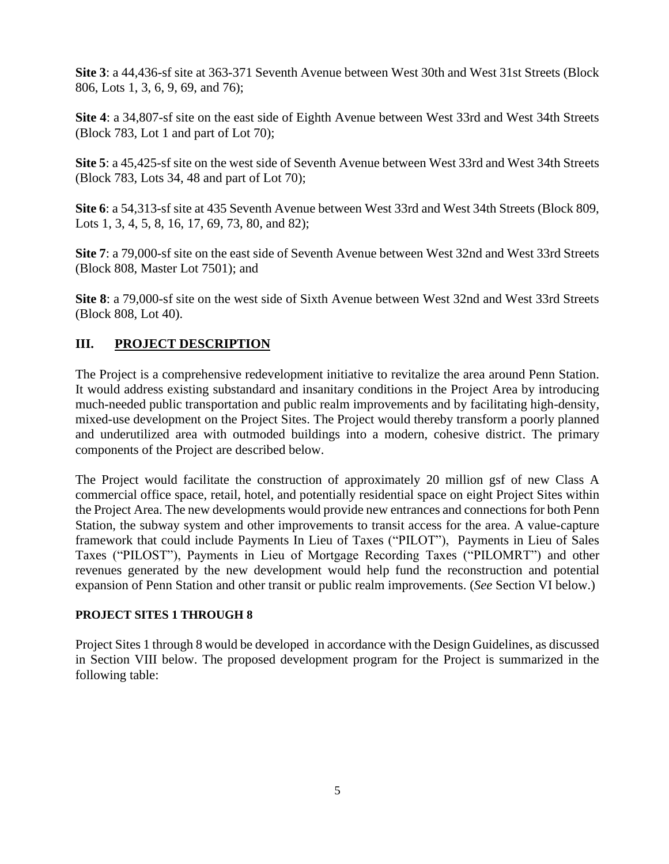**Site 3**: a 44,436-sf site at 363-371 Seventh Avenue between West 30th and West 31st Streets (Block 806, Lots 1, 3, 6, 9, 69, and 76);

**Site 4**: a 34,807-sf site on the east side of Eighth Avenue between West 33rd and West 34th Streets (Block 783, Lot 1 and part of Lot 70);

**Site 5**: a 45,425-sf site on the west side of Seventh Avenue between West 33rd and West 34th Streets (Block 783, Lots 34, 48 and part of Lot 70);

**Site 6**: a 54,313-sf site at 435 Seventh Avenue between West 33rd and West 34th Streets (Block 809, Lots 1, 3, 4, 5, 8, 16, 17, 69, 73, 80, and 82);

**Site 7**: a 79,000-sf site on the east side of Seventh Avenue between West 32nd and West 33rd Streets (Block 808, Master Lot 7501); and

**Site 8**: a 79,000-sf site on the west side of Sixth Avenue between West 32nd and West 33rd Streets (Block 808, Lot 40).

## **III. PROJECT DESCRIPTION**

The Project is a comprehensive redevelopment initiative to revitalize the area around Penn Station. It would address existing substandard and insanitary conditions in the Project Area by introducing much-needed public transportation and public realm improvements and by facilitating high-density, mixed-use development on the Project Sites. The Project would thereby transform a poorly planned and underutilized area with outmoded buildings into a modern, cohesive district. The primary components of the Project are described below.

The Project would facilitate the construction of approximately 20 million gsf of new Class A commercial office space, retail, hotel, and potentially residential space on eight Project Sites within the Project Area. The new developments would provide new entrances and connections for both Penn Station, the subway system and other improvements to transit access for the area. A value-capture framework that could include Payments In Lieu of Taxes ("PILOT"), Payments in Lieu of Sales Taxes ("PILOST"), Payments in Lieu of Mortgage Recording Taxes ("PILOMRT") and other revenues generated by the new development would help fund the reconstruction and potential expansion of Penn Station and other transit or public realm improvements. (*See* Section VI below.)

## **PROJECT SITES 1 THROUGH 8**

Project Sites 1 through 8 would be developed in accordance with the Design Guidelines, as discussed in Section VIII below. The proposed development program for the Project is summarized in the following table: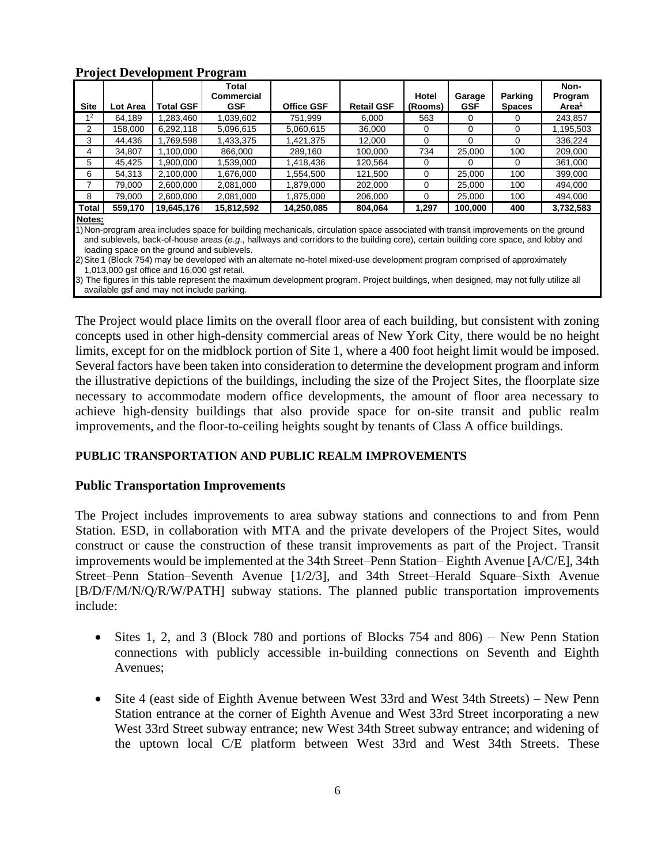|                                                                                                                                     |          | Troject Development Trogram | Total             |                   |                   |          |            |               | Non-              |
|-------------------------------------------------------------------------------------------------------------------------------------|----------|-----------------------------|-------------------|-------------------|-------------------|----------|------------|---------------|-------------------|
|                                                                                                                                     |          |                             | <b>Commercial</b> |                   |                   | Hotel    | Garage     | Parking       | Program           |
| <b>Site</b>                                                                                                                         | Lot Area | <b>Total GSF</b>            | <b>GSF</b>        | <b>Office GSF</b> | <b>Retail GSF</b> | (Rooms)  | <b>GSF</b> | <b>Spaces</b> | Area <del>1</del> |
| 1 <sup>2</sup>                                                                                                                      | 64,189   | 1,283,460                   | 1,039,602         | 751.999           | 6,000             | 563      | 0          | 0             | 243,857           |
| 2                                                                                                                                   | 158,000  | 6,292,118                   | 5,096,615         | 5,060,615         | 36,000            | 0        | 0          | 0             | 1,195,503         |
| 3                                                                                                                                   | 44,436   | 1.769.598                   | 1,433,375         | 1,421,375         | 12,000            | 0        | 0          | 0             | 336,224           |
| 4                                                                                                                                   | 34,807   | 1,100,000                   | 866,000           | 289,160           | 100,000           | 734      | 25,000     | 100           | 209,000           |
| 5                                                                                                                                   | 45,425   | 1,900,000                   | 1,539,000         | 1,418,436         | 120,564           | $\Omega$ | $\Omega$   | $\Omega$      | 361,000           |
| 6                                                                                                                                   | 54,313   | 2,100,000                   | 1,676,000         | 1,554,500         | 121,500           | 0        | 25,000     | 100           | 399,000           |
| 7                                                                                                                                   | 79,000   | 2,600,000                   | 2,081,000         | 1,879,000         | 202,000           | $\Omega$ | 25,000     | 100           | 494,000           |
| 8                                                                                                                                   | 79,000   | 2,600,000                   | 2,081,000         | 1,875,000         | 206,000           | $\Omega$ | 25,000     | 100           | 494,000           |
| Total                                                                                                                               | 559,170  | 19,645,176                  | 15,812,592        | 14,250,085        | 804,064           | 1,297    | 100,000    | 400           | 3,732,583         |
| Notes:                                                                                                                              |          |                             |                   |                   |                   |          |            |               |                   |
| 1) Non-program area includes space for building mechanicals, circulation space associated with transit improvements on the ground   |          |                             |                   |                   |                   |          |            |               |                   |
| and sublevels, back-of-house areas (e.g., hallways and corridors to the building core), certain building core space, and lobby and  |          |                             |                   |                   |                   |          |            |               |                   |
| loading space on the ground and sublevels.                                                                                          |          |                             |                   |                   |                   |          |            |               |                   |
| 2) Site 1 (Block 754) may be developed with an alternate no-hotel mixed-use development program comprised of approximately          |          |                             |                   |                   |                   |          |            |               |                   |
| 1,013,000 gsf office and 16,000 gsf retail.                                                                                         |          |                             |                   |                   |                   |          |            |               |                   |
| 3) The figures in this table represent the maximum development program. Project buildings, when designed, may not fully utilize all |          |                             |                   |                   |                   |          |            |               |                   |
| available gsf and may not include parking.                                                                                          |          |                             |                   |                   |                   |          |            |               |                   |

#### **Project Development Program**

The Project would place limits on the overall floor area of each building, but consistent with zoning concepts used in other high-density commercial areas of New York City, there would be no height limits, except for on the midblock portion of Site 1, where a 400 foot height limit would be imposed. Several factors have been taken into consideration to determine the development program and inform the illustrative depictions of the buildings, including the size of the Project Sites, the floorplate size necessary to accommodate modern office developments, the amount of floor area necessary to achieve high-density buildings that also provide space for on-site transit and public realm improvements, and the floor-to-ceiling heights sought by tenants of Class A office buildings.

#### **PUBLIC TRANSPORTATION AND PUBLIC REALM IMPROVEMENTS**

#### **Public Transportation Improvements**

The Project includes improvements to area subway stations and connections to and from Penn Station. ESD, in collaboration with MTA and the private developers of the Project Sites, would construct or cause the construction of these transit improvements as part of the Project. Transit improvements would be implemented at the 34th Street–Penn Station– Eighth Avenue [A/C/E], 34th Street–Penn Station–Seventh Avenue [1/2/3], and 34th Street–Herald Square–Sixth Avenue [B/D/F/M/N/Q/R/W/PATH] subway stations. The planned public transportation improvements include:

- Sites 1, 2, and 3 (Block 780 and portions of Blocks 754 and 806) New Penn Station connections with publicly accessible in-building connections on Seventh and Eighth Avenues;
- Site 4 (east side of Eighth Avenue between West 33rd and West 34th Streets) New Penn Station entrance at the corner of Eighth Avenue and West 33rd Street incorporating a new West 33rd Street subway entrance; new West 34th Street subway entrance; and widening of the uptown local C/E platform between West 33rd and West 34th Streets. These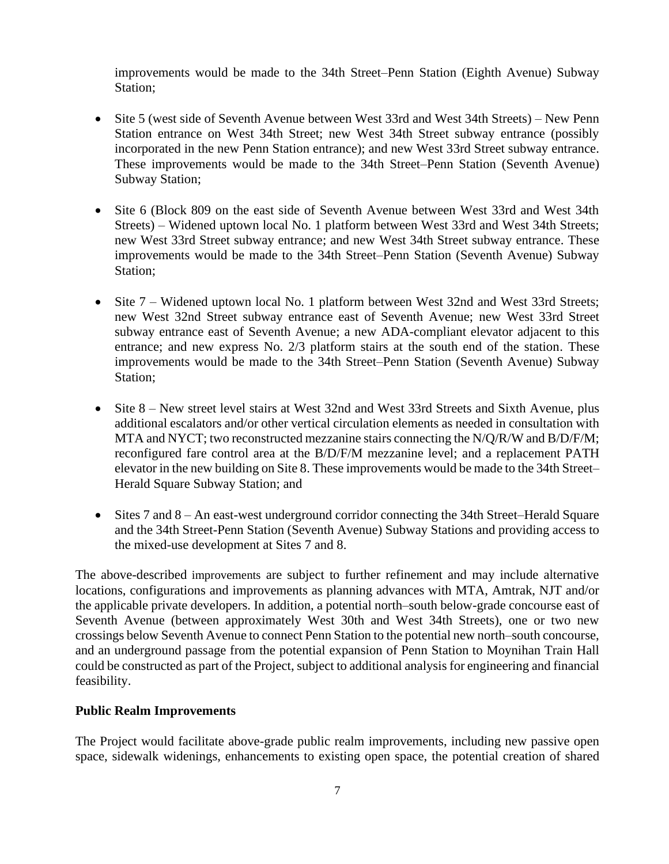improvements would be made to the 34th Street–Penn Station (Eighth Avenue) Subway Station;

- Site 5 (west side of Seventh Avenue between West 33rd and West 34th Streets) New Penn Station entrance on West 34th Street; new West 34th Street subway entrance (possibly incorporated in the new Penn Station entrance); and new West 33rd Street subway entrance. These improvements would be made to the 34th Street–Penn Station (Seventh Avenue) Subway Station;
- Site 6 (Block 809 on the east side of Seventh Avenue between West 33rd and West 34th Streets) – Widened uptown local No. 1 platform between West 33rd and West 34th Streets; new West 33rd Street subway entrance; and new West 34th Street subway entrance. These improvements would be made to the 34th Street–Penn Station (Seventh Avenue) Subway Station;
- Site 7 Widened uptown local No. 1 platform between West 32nd and West 33rd Streets; new West 32nd Street subway entrance east of Seventh Avenue; new West 33rd Street subway entrance east of Seventh Avenue; a new ADA-compliant elevator adjacent to this entrance; and new express No. 2/3 platform stairs at the south end of the station. These improvements would be made to the 34th Street–Penn Station (Seventh Avenue) Subway Station;
- Site 8 New street level stairs at West 32nd and West 33rd Streets and Sixth Avenue, plus additional escalators and/or other vertical circulation elements as needed in consultation with MTA and NYCT; two reconstructed mezzanine stairs connecting the N/Q/R/W and B/D/F/M; reconfigured fare control area at the B/D/F/M mezzanine level; and a replacement PATH elevator in the new building on Site 8. These improvements would be made to the 34th Street– Herald Square Subway Station; and
- Sites 7 and 8 An east-west underground corridor connecting the 34th Street–Herald Square and the 34th Street-Penn Station (Seventh Avenue) Subway Stations and providing access to the mixed-use development at Sites 7 and 8.

The above-described improvements are subject to further refinement and may include alternative locations, configurations and improvements as planning advances with MTA, Amtrak, NJT and/or the applicable private developers. In addition, a potential north–south below-grade concourse east of Seventh Avenue (between approximately West 30th and West 34th Streets), one or two new crossings below Seventh Avenue to connect Penn Station to the potential new north–south concourse, and an underground passage from the potential expansion of Penn Station to Moynihan Train Hall could be constructed as part of the Project, subject to additional analysis for engineering and financial feasibility.

#### **Public Realm Improvements**

The Project would facilitate above-grade public realm improvements, including new passive open space, sidewalk widenings, enhancements to existing open space, the potential creation of shared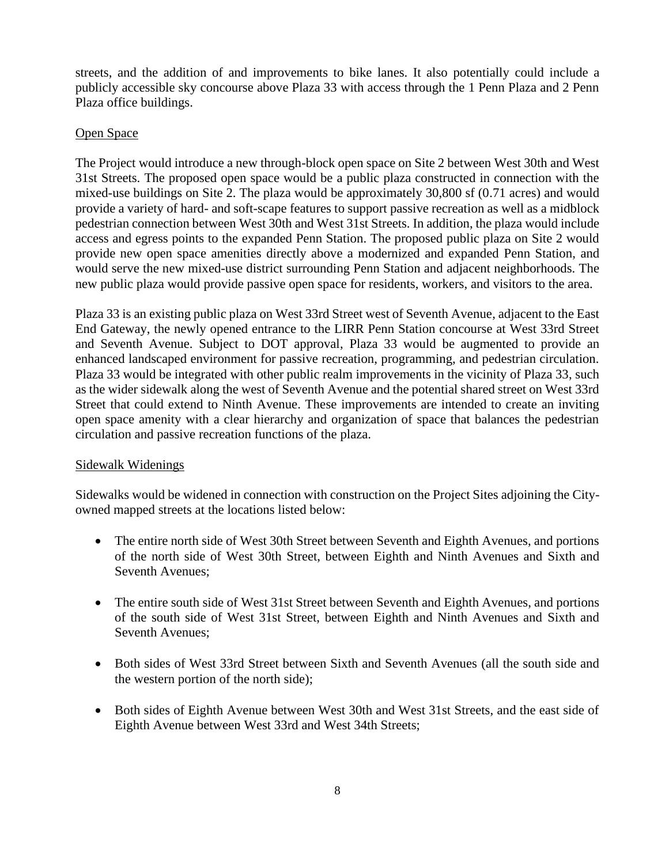streets, and the addition of and improvements to bike lanes. It also potentially could include a publicly accessible sky concourse above Plaza 33 with access through the 1 Penn Plaza and 2 Penn Plaza office buildings.

### Open Space

The Project would introduce a new through-block open space on Site 2 between West 30th and West 31st Streets. The proposed open space would be a public plaza constructed in connection with the mixed-use buildings on Site 2. The plaza would be approximately 30,800 sf (0.71 acres) and would provide a variety of hard- and soft-scape features to support passive recreation as well as a midblock pedestrian connection between West 30th and West 31st Streets. In addition, the plaza would include access and egress points to the expanded Penn Station. The proposed public plaza on Site 2 would provide new open space amenities directly above a modernized and expanded Penn Station, and would serve the new mixed-use district surrounding Penn Station and adjacent neighborhoods. The new public plaza would provide passive open space for residents, workers, and visitors to the area.

Plaza 33 is an existing public plaza on West 33rd Street west of Seventh Avenue, adjacent to the East End Gateway, the newly opened entrance to the LIRR Penn Station concourse at West 33rd Street and Seventh Avenue. Subject to DOT approval, Plaza 33 would be augmented to provide an enhanced landscaped environment for passive recreation, programming, and pedestrian circulation. Plaza 33 would be integrated with other public realm improvements in the vicinity of Plaza 33, such as the wider sidewalk along the west of Seventh Avenue and the potential shared street on West 33rd Street that could extend to Ninth Avenue. These improvements are intended to create an inviting open space amenity with a clear hierarchy and organization of space that balances the pedestrian circulation and passive recreation functions of the plaza.

#### Sidewalk Widenings

Sidewalks would be widened in connection with construction on the Project Sites adjoining the Cityowned mapped streets at the locations listed below:

- The entire north side of West 30th Street between Seventh and Eighth Avenues, and portions of the north side of West 30th Street, between Eighth and Ninth Avenues and Sixth and Seventh Avenues;
- The entire south side of West 31st Street between Seventh and Eighth Avenues, and portions of the south side of West 31st Street, between Eighth and Ninth Avenues and Sixth and Seventh Avenues;
- Both sides of West 33rd Street between Sixth and Seventh Avenues (all the south side and the western portion of the north side);
- Both sides of Eighth Avenue between West 30th and West 31st Streets, and the east side of Eighth Avenue between West 33rd and West 34th Streets;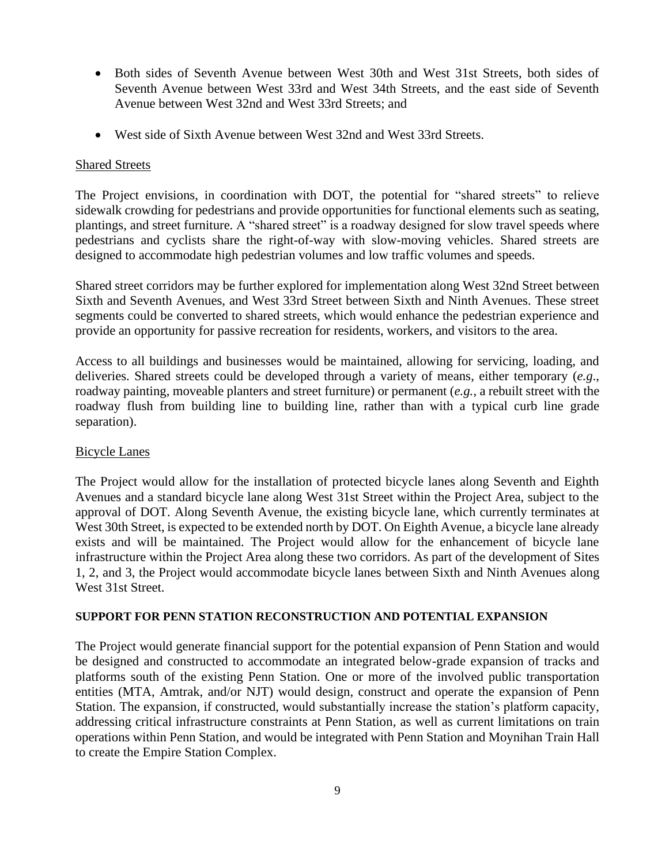- Both sides of Seventh Avenue between West 30th and West 31st Streets, both sides of Seventh Avenue between West 33rd and West 34th Streets, and the east side of Seventh Avenue between West 32nd and West 33rd Streets; and
- West side of Sixth Avenue between West 32nd and West 33rd Streets.

#### Shared Streets

The Project envisions, in coordination with DOT, the potential for "shared streets" to relieve sidewalk crowding for pedestrians and provide opportunities for functional elements such as seating, plantings, and street furniture. A "shared street" is a roadway designed for slow travel speeds where pedestrians and cyclists share the right-of-way with slow-moving vehicles. Shared streets are designed to accommodate high pedestrian volumes and low traffic volumes and speeds.

Shared street corridors may be further explored for implementation along West 32nd Street between Sixth and Seventh Avenues, and West 33rd Street between Sixth and Ninth Avenues. These street segments could be converted to shared streets, which would enhance the pedestrian experience and provide an opportunity for passive recreation for residents, workers, and visitors to the area.

Access to all buildings and businesses would be maintained, allowing for servicing, loading, and deliveries. Shared streets could be developed through a variety of means, either temporary (*e.g*., roadway painting, moveable planters and street furniture) or permanent (*e.g.*, a rebuilt street with the roadway flush from building line to building line, rather than with a typical curb line grade separation).

#### Bicycle Lanes

The Project would allow for the installation of protected bicycle lanes along Seventh and Eighth Avenues and a standard bicycle lane along West 31st Street within the Project Area, subject to the approval of DOT. Along Seventh Avenue, the existing bicycle lane, which currently terminates at West 30th Street, is expected to be extended north by DOT. On Eighth Avenue, a bicycle lane already exists and will be maintained. The Project would allow for the enhancement of bicycle lane infrastructure within the Project Area along these two corridors. As part of the development of Sites 1, 2, and 3, the Project would accommodate bicycle lanes between Sixth and Ninth Avenues along West 31st Street.

#### **SUPPORT FOR PENN STATION RECONSTRUCTION AND POTENTIAL EXPANSION**

The Project would generate financial support for the potential expansion of Penn Station and would be designed and constructed to accommodate an integrated below-grade expansion of tracks and platforms south of the existing Penn Station. One or more of the involved public transportation entities (MTA, Amtrak, and/or NJT) would design, construct and operate the expansion of Penn Station. The expansion, if constructed, would substantially increase the station's platform capacity, addressing critical infrastructure constraints at Penn Station, as well as current limitations on train operations within Penn Station, and would be integrated with Penn Station and Moynihan Train Hall to create the Empire Station Complex.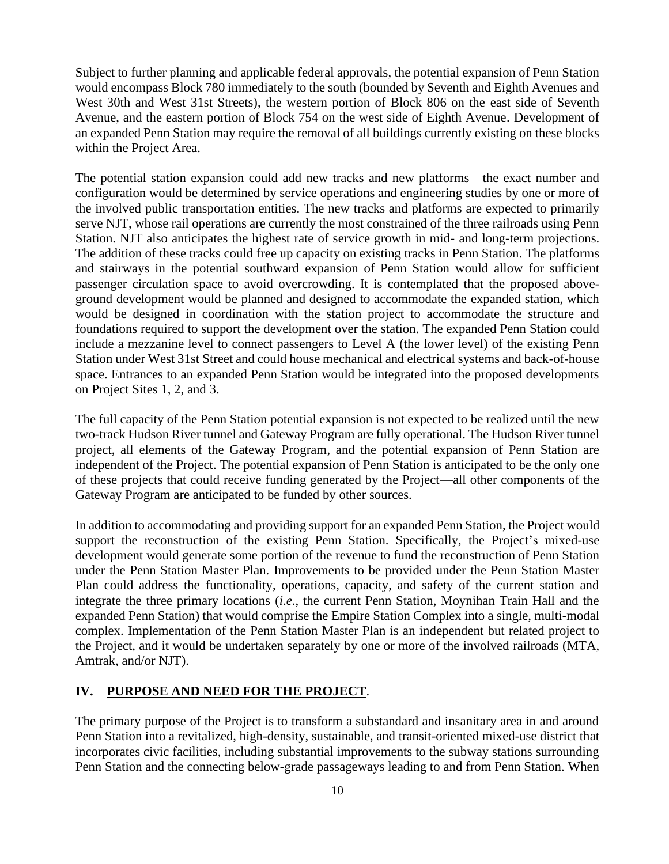Subject to further planning and applicable federal approvals, the potential expansion of Penn Station would encompass Block 780 immediately to the south (bounded by Seventh and Eighth Avenues and West 30th and West 31st Streets), the western portion of Block 806 on the east side of Seventh Avenue, and the eastern portion of Block 754 on the west side of Eighth Avenue. Development of an expanded Penn Station may require the removal of all buildings currently existing on these blocks within the Project Area.

The potential station expansion could add new tracks and new platforms—the exact number and configuration would be determined by service operations and engineering studies by one or more of the involved public transportation entities. The new tracks and platforms are expected to primarily serve NJT, whose rail operations are currently the most constrained of the three railroads using Penn Station. NJT also anticipates the highest rate of service growth in mid- and long-term projections. The addition of these tracks could free up capacity on existing tracks in Penn Station. The platforms and stairways in the potential southward expansion of Penn Station would allow for sufficient passenger circulation space to avoid overcrowding. It is contemplated that the proposed aboveground development would be planned and designed to accommodate the expanded station, which would be designed in coordination with the station project to accommodate the structure and foundations required to support the development over the station. The expanded Penn Station could include a mezzanine level to connect passengers to Level A (the lower level) of the existing Penn Station under West 31st Street and could house mechanical and electrical systems and back-of-house space. Entrances to an expanded Penn Station would be integrated into the proposed developments on Project Sites 1, 2, and 3.

The full capacity of the Penn Station potential expansion is not expected to be realized until the new two-track Hudson River tunnel and Gateway Program are fully operational. The Hudson River tunnel project, all elements of the Gateway Program, and the potential expansion of Penn Station are independent of the Project. The potential expansion of Penn Station is anticipated to be the only one of these projects that could receive funding generated by the Project—all other components of the Gateway Program are anticipated to be funded by other sources.

In addition to accommodating and providing support for an expanded Penn Station, the Project would support the reconstruction of the existing Penn Station. Specifically, the Project's mixed-use development would generate some portion of the revenue to fund the reconstruction of Penn Station under the Penn Station Master Plan. Improvements to be provided under the Penn Station Master Plan could address the functionality, operations, capacity, and safety of the current station and integrate the three primary locations (*i*.*e*., the current Penn Station, Moynihan Train Hall and the expanded Penn Station) that would comprise the Empire Station Complex into a single, multi-modal complex. Implementation of the Penn Station Master Plan is an independent but related project to the Project, and it would be undertaken separately by one or more of the involved railroads (MTA, Amtrak, and/or NJT).

#### **IV. PURPOSE AND NEED FOR THE PROJECT**.

The primary purpose of the Project is to transform a substandard and insanitary area in and around Penn Station into a revitalized, high-density, sustainable, and transit-oriented mixed-use district that incorporates civic facilities, including substantial improvements to the subway stations surrounding Penn Station and the connecting below-grade passageways leading to and from Penn Station. When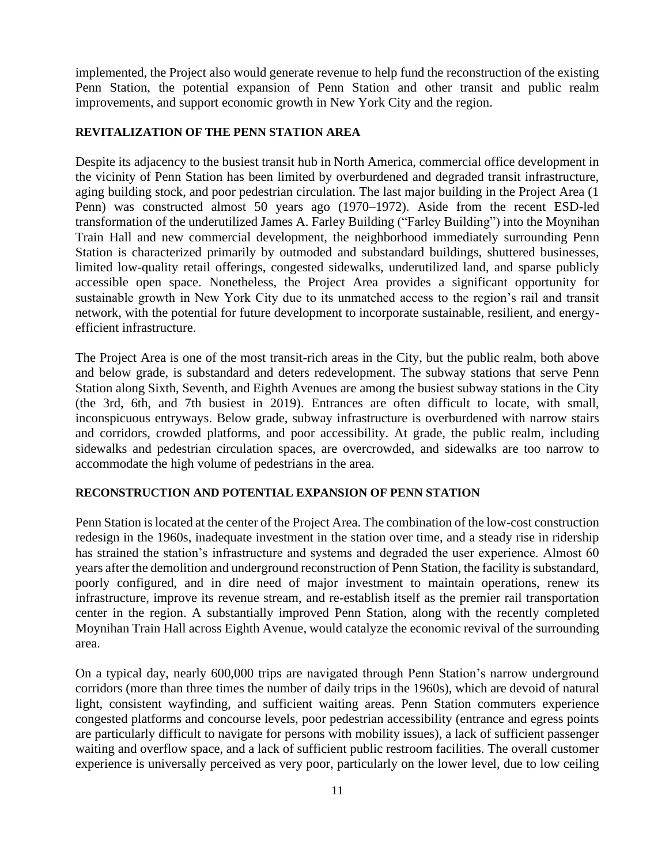implemented, the Project also would generate revenue to help fund the reconstruction of the existing Penn Station, the potential expansion of Penn Station and other transit and public realm improvements, and support economic growth in New York City and the region.

#### **REVITALIZATION OF THE PENN STATION AREA**

Despite its adjacency to the busiest transit hub in North America, commercial office development in the vicinity of Penn Station has been limited by overburdened and degraded transit infrastructure, aging building stock, and poor pedestrian circulation. The last major building in the Project Area (1 Penn) was constructed almost 50 years ago (1970–1972). Aside from the recent ESD-led transformation of the underutilized James A. Farley Building ("Farley Building") into the Moynihan Train Hall and new commercial development, the neighborhood immediately surrounding Penn Station is characterized primarily by outmoded and substandard buildings, shuttered businesses, limited low-quality retail offerings, congested sidewalks, underutilized land, and sparse publicly accessible open space. Nonetheless, the Project Area provides a significant opportunity for sustainable growth in New York City due to its unmatched access to the region's rail and transit network, with the potential for future development to incorporate sustainable, resilient, and energyefficient infrastructure.

The Project Area is one of the most transit-rich areas in the City, but the public realm, both above and below grade, is substandard and deters redevelopment. The subway stations that serve Penn Station along Sixth, Seventh, and Eighth Avenues are among the busiest subway stations in the City (the 3rd, 6th, and 7th busiest in 2019). Entrances are often difficult to locate, with small, inconspicuous entryways. Below grade, subway infrastructure is overburdened with narrow stairs and corridors, crowded platforms, and poor accessibility. At grade, the public realm, including sidewalks and pedestrian circulation spaces, are overcrowded, and sidewalks are too narrow to accommodate the high volume of pedestrians in the area.

#### **RECONSTRUCTION AND POTENTIAL EXPANSION OF PENN STATION**

Penn Station is located at the center of the Project Area. The combination of the low-cost construction redesign in the 1960s, inadequate investment in the station over time, and a steady rise in ridership has strained the station's infrastructure and systems and degraded the user experience. Almost 60 years after the demolition and underground reconstruction of Penn Station, the facility is substandard, poorly configured, and in dire need of major investment to maintain operations, renew its infrastructure, improve its revenue stream, and re-establish itself as the premier rail transportation center in the region. A substantially improved Penn Station, along with the recently completed Moynihan Train Hall across Eighth Avenue, would catalyze the economic revival of the surrounding area.

On a typical day, nearly 600,000 trips are navigated through Penn Station's narrow underground corridors (more than three times the number of daily trips in the 1960s), which are devoid of natural light, consistent wayfinding, and sufficient waiting areas. Penn Station commuters experience congested platforms and concourse levels, poor pedestrian accessibility (entrance and egress points are particularly difficult to navigate for persons with mobility issues), a lack of sufficient passenger waiting and overflow space, and a lack of sufficient public restroom facilities. The overall customer experience is universally perceived as very poor, particularly on the lower level, due to low ceiling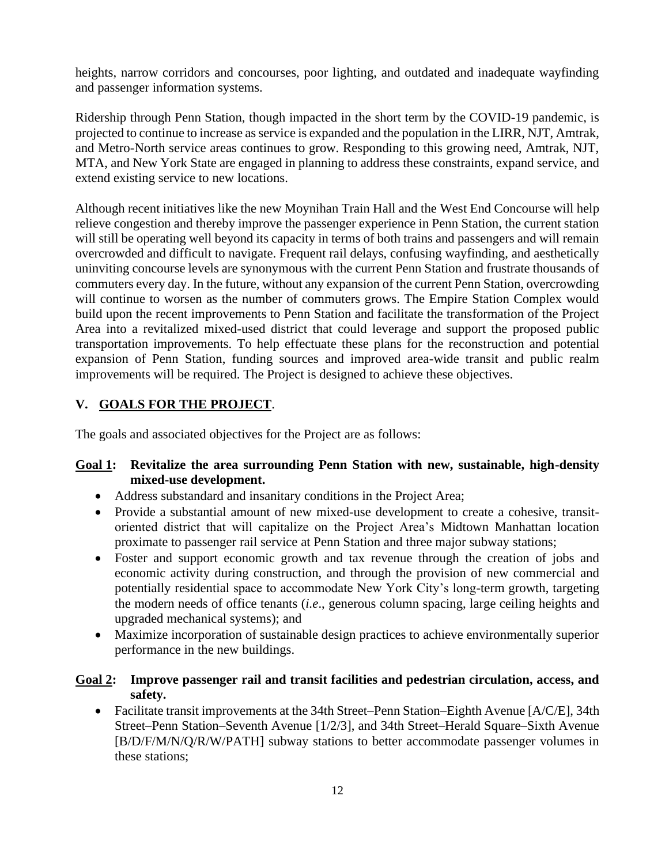heights, narrow corridors and concourses, poor lighting, and outdated and inadequate wayfinding and passenger information systems.

Ridership through Penn Station, though impacted in the short term by the COVID-19 pandemic, is projected to continue to increase as service is expanded and the population in the LIRR, NJT, Amtrak, and Metro-North service areas continues to grow. Responding to this growing need, Amtrak, NJT, MTA, and New York State are engaged in planning to address these constraints, expand service, and extend existing service to new locations.

Although recent initiatives like the new Moynihan Train Hall and the West End Concourse will help relieve congestion and thereby improve the passenger experience in Penn Station, the current station will still be operating well beyond its capacity in terms of both trains and passengers and will remain overcrowded and difficult to navigate. Frequent rail delays, confusing wayfinding, and aesthetically uninviting concourse levels are synonymous with the current Penn Station and frustrate thousands of commuters every day. In the future, without any expansion of the current Penn Station, overcrowding will continue to worsen as the number of commuters grows. The Empire Station Complex would build upon the recent improvements to Penn Station and facilitate the transformation of the Project Area into a revitalized mixed-used district that could leverage and support the proposed public transportation improvements. To help effectuate these plans for the reconstruction and potential expansion of Penn Station, funding sources and improved area-wide transit and public realm improvements will be required. The Project is designed to achieve these objectives.

## **V. GOALS FOR THE PROJECT**.

The goals and associated objectives for the Project are as follows:

### **Goal 1: Revitalize the area surrounding Penn Station with new, sustainable, high-density mixed-use development.**

- Address substandard and insanitary conditions in the Project Area;
- Provide a substantial amount of new mixed-use development to create a cohesive, transitoriented district that will capitalize on the Project Area's Midtown Manhattan location proximate to passenger rail service at Penn Station and three major subway stations;
- Foster and support economic growth and tax revenue through the creation of jobs and economic activity during construction, and through the provision of new commercial and potentially residential space to accommodate New York City's long-term growth, targeting the modern needs of office tenants (*i.e*., generous column spacing, large ceiling heights and upgraded mechanical systems); and
- Maximize incorporation of sustainable design practices to achieve environmentally superior performance in the new buildings.

#### **Goal 2: Improve passenger rail and transit facilities and pedestrian circulation, access, and safety.**

• Facilitate transit improvements at the 34th Street–Penn Station–Eighth Avenue [A/C/E], 34th Street–Penn Station–Seventh Avenue [1/2/3], and 34th Street–Herald Square–Sixth Avenue [B/D/F/M/N/Q/R/W/PATH] subway stations to better accommodate passenger volumes in these stations;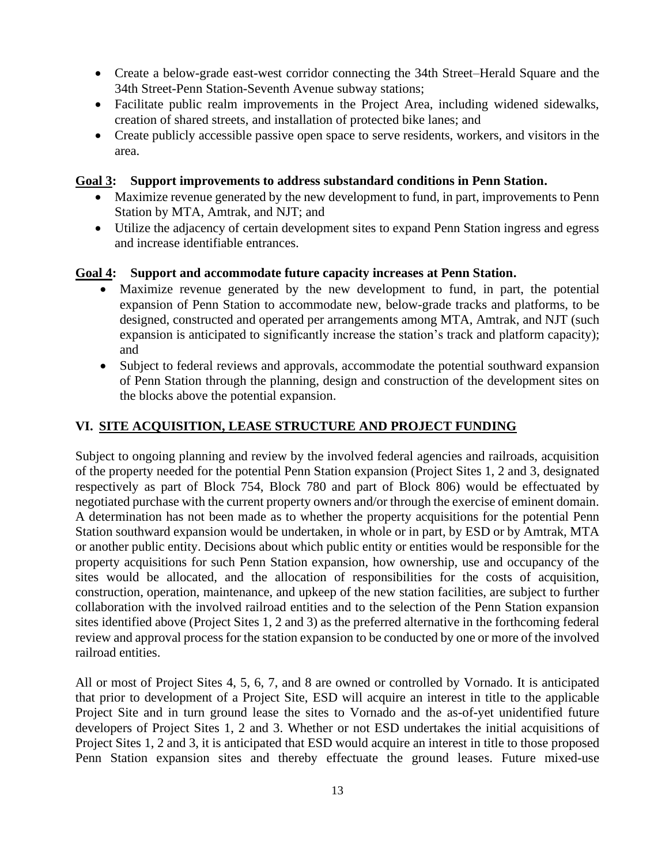- Create a below-grade east-west corridor connecting the 34th Street–Herald Square and the 34th Street-Penn Station-Seventh Avenue subway stations;
- Facilitate public realm improvements in the Project Area, including widened sidewalks, creation of shared streets, and installation of protected bike lanes; and
- Create publicly accessible passive open space to serve residents, workers, and visitors in the area.

#### **Goal 3: Support improvements to address substandard conditions in Penn Station.**

- Maximize revenue generated by the new development to fund, in part, improvements to Penn Station by MTA, Amtrak, and NJT; and
- Utilize the adjacency of certain development sites to expand Penn Station ingress and egress and increase identifiable entrances.

#### **Goal 4: Support and accommodate future capacity increases at Penn Station.**

- Maximize revenue generated by the new development to fund, in part, the potential expansion of Penn Station to accommodate new, below-grade tracks and platforms, to be designed, constructed and operated per arrangements among MTA, Amtrak, and NJT (such expansion is anticipated to significantly increase the station's track and platform capacity); and
- Subject to federal reviews and approvals, accommodate the potential southward expansion of Penn Station through the planning, design and construction of the development sites on the blocks above the potential expansion.

### **VI. SITE ACQUISITION, LEASE STRUCTURE AND PROJECT FUNDING**

Subject to ongoing planning and review by the involved federal agencies and railroads, acquisition of the property needed for the potential Penn Station expansion (Project Sites 1, 2 and 3, designated respectively as part of Block 754, Block 780 and part of Block 806) would be effectuated by negotiated purchase with the current property owners and/or through the exercise of eminent domain. A determination has not been made as to whether the property acquisitions for the potential Penn Station southward expansion would be undertaken, in whole or in part, by ESD or by Amtrak, MTA or another public entity. Decisions about which public entity or entities would be responsible for the property acquisitions for such Penn Station expansion, how ownership, use and occupancy of the sites would be allocated, and the allocation of responsibilities for the costs of acquisition, construction, operation, maintenance, and upkeep of the new station facilities, are subject to further collaboration with the involved railroad entities and to the selection of the Penn Station expansion sites identified above (Project Sites 1, 2 and 3) as the preferred alternative in the forthcoming federal review and approval process for the station expansion to be conducted by one or more of the involved railroad entities.

All or most of Project Sites 4, 5, 6, 7, and 8 are owned or controlled by Vornado. It is anticipated that prior to development of a Project Site, ESD will acquire an interest in title to the applicable Project Site and in turn ground lease the sites to Vornado and the as-of-yet unidentified future developers of Project Sites 1, 2 and 3. Whether or not ESD undertakes the initial acquisitions of Project Sites 1, 2 and 3, it is anticipated that ESD would acquire an interest in title to those proposed Penn Station expansion sites and thereby effectuate the ground leases. Future mixed-use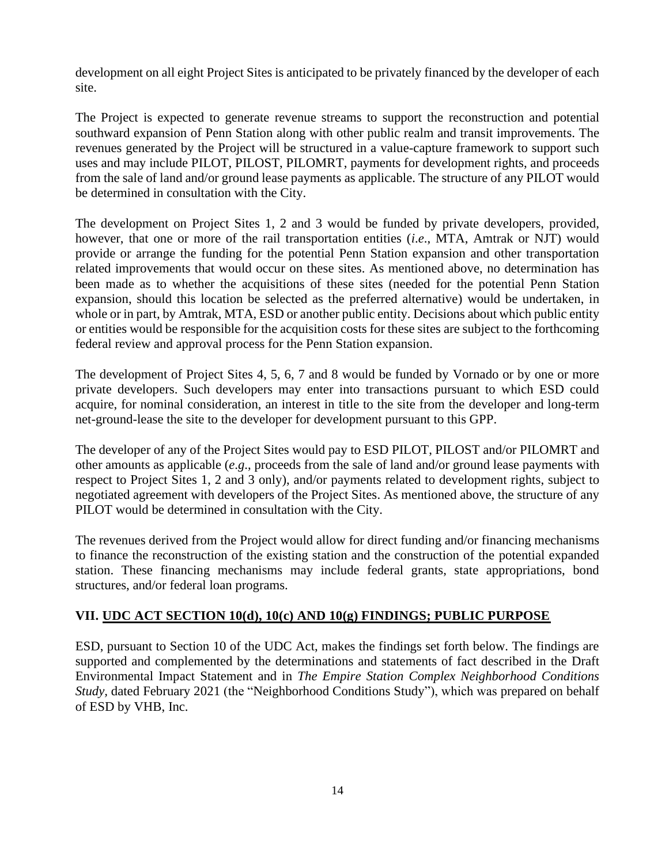development on all eight Project Sites is anticipated to be privately financed by the developer of each site.

The Project is expected to generate revenue streams to support the reconstruction and potential southward expansion of Penn Station along with other public realm and transit improvements. The revenues generated by the Project will be structured in a value-capture framework to support such uses and may include PILOT, PILOST, PILOMRT, payments for development rights, and proceeds from the sale of land and/or ground lease payments as applicable. The structure of any PILOT would be determined in consultation with the City.

The development on Project Sites 1, 2 and 3 would be funded by private developers, provided, however, that one or more of the rail transportation entities (*i*.*e*., MTA, Amtrak or NJT) would provide or arrange the funding for the potential Penn Station expansion and other transportation related improvements that would occur on these sites. As mentioned above, no determination has been made as to whether the acquisitions of these sites (needed for the potential Penn Station expansion, should this location be selected as the preferred alternative) would be undertaken, in whole or in part, by Amtrak, MTA, ESD or another public entity. Decisions about which public entity or entities would be responsible for the acquisition costs for these sites are subject to the forthcoming federal review and approval process for the Penn Station expansion.

The development of Project Sites 4, 5, 6, 7 and 8 would be funded by Vornado or by one or more private developers. Such developers may enter into transactions pursuant to which ESD could acquire, for nominal consideration, an interest in title to the site from the developer and long-term net-ground-lease the site to the developer for development pursuant to this GPP.

The developer of any of the Project Sites would pay to ESD PILOT, PILOST and/or PILOMRT and other amounts as applicable (*e*.*g*., proceeds from the sale of land and/or ground lease payments with respect to Project Sites 1, 2 and 3 only), and/or payments related to development rights, subject to negotiated agreement with developers of the Project Sites. As mentioned above, the structure of any PILOT would be determined in consultation with the City.

The revenues derived from the Project would allow for direct funding and/or financing mechanisms to finance the reconstruction of the existing station and the construction of the potential expanded station. These financing mechanisms may include federal grants, state appropriations, bond structures, and/or federal loan programs.

## **VII. UDC ACT SECTION 10(d), 10(c) AND 10(g) FINDINGS; PUBLIC PURPOSE**

ESD, pursuant to Section 10 of the UDC Act, makes the findings set forth below. The findings are supported and complemented by the determinations and statements of fact described in the Draft Environmental Impact Statement and in *The Empire Station Complex Neighborhood Conditions Study,* dated February 2021 (the "Neighborhood Conditions Study"), which was prepared on behalf of ESD by VHB, Inc.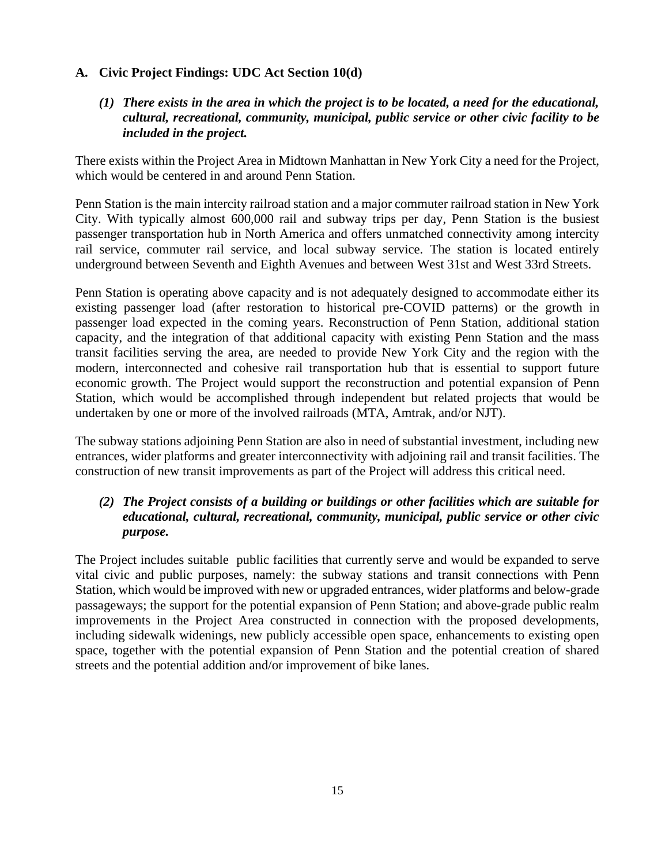## **A. Civic Project Findings: UDC Act Section 10(d)**

## *(1) There exists in the area in which the project is to be located, a need for the educational, cultural, recreational, community, municipal, public service or other civic facility to be included in the project.*

There exists within the Project Area in Midtown Manhattan in New York City a need for the Project, which would be centered in and around Penn Station.

Penn Station is the main intercity railroad station and a major commuter railroad station in New York City. With typically almost 600,000 rail and subway trips per day, Penn Station is the busiest passenger transportation hub in North America and offers unmatched connectivity among intercity rail service, commuter rail service, and local subway service. The station is located entirely underground between Seventh and Eighth Avenues and between West 31st and West 33rd Streets.

Penn Station is operating above capacity and is not adequately designed to accommodate either its existing passenger load (after restoration to historical pre-COVID patterns) or the growth in passenger load expected in the coming years. Reconstruction of Penn Station, additional station capacity, and the integration of that additional capacity with existing Penn Station and the mass transit facilities serving the area, are needed to provide New York City and the region with the modern, interconnected and cohesive rail transportation hub that is essential to support future economic growth. The Project would support the reconstruction and potential expansion of Penn Station, which would be accomplished through independent but related projects that would be undertaken by one or more of the involved railroads (MTA, Amtrak, and/or NJT).

The subway stations adjoining Penn Station are also in need of substantial investment, including new entrances, wider platforms and greater interconnectivity with adjoining rail and transit facilities. The construction of new transit improvements as part of the Project will address this critical need.

## *(2) The Project consists of a building or buildings or other facilities which are suitable for educational, cultural, recreational, community, municipal, public service or other civic purpose.*

The Project includes suitable public facilities that currently serve and would be expanded to serve vital civic and public purposes, namely: the subway stations and transit connections with Penn Station, which would be improved with new or upgraded entrances, wider platforms and below-grade passageways; the support for the potential expansion of Penn Station; and above-grade public realm improvements in the Project Area constructed in connection with the proposed developments, including sidewalk widenings, new publicly accessible open space, enhancements to existing open space, together with the potential expansion of Penn Station and the potential creation of shared streets and the potential addition and/or improvement of bike lanes.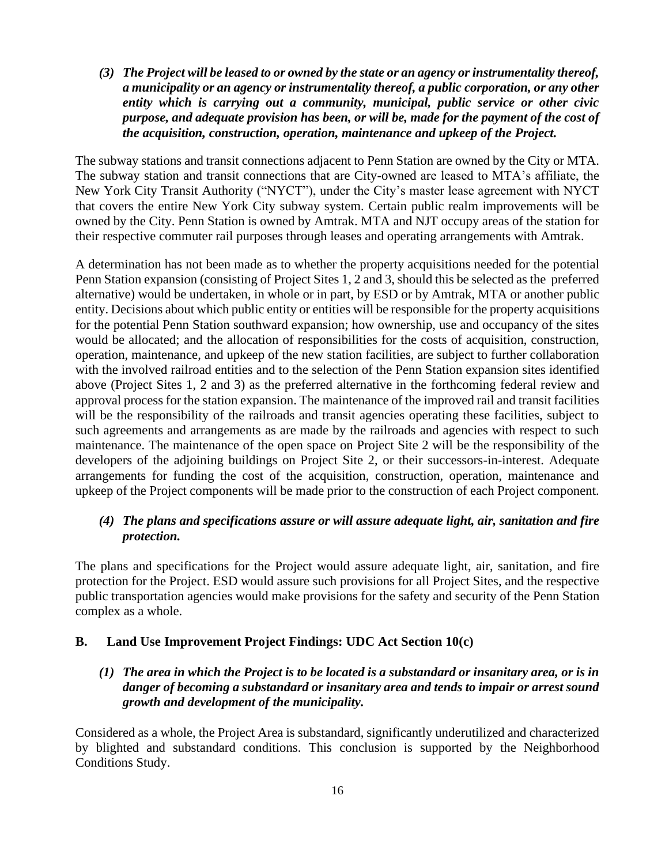*(3) The Project will be leased to or owned by the state or an agency or instrumentality thereof, a municipality or an agency or instrumentality thereof, a public corporation, or any other entity which is carrying out a community, municipal, public service or other civic purpose, and adequate provision has been, or will be, made for the payment of the cost of the acquisition, construction, operation, maintenance and upkeep of the Project.*

The subway stations and transit connections adjacent to Penn Station are owned by the City or MTA. The subway station and transit connections that are City-owned are leased to MTA's affiliate, the New York City Transit Authority ("NYCT"), under the City's master lease agreement with NYCT that covers the entire New York City subway system. Certain public realm improvements will be owned by the City. Penn Station is owned by Amtrak. MTA and NJT occupy areas of the station for their respective commuter rail purposes through leases and operating arrangements with Amtrak.

A determination has not been made as to whether the property acquisitions needed for the potential Penn Station expansion (consisting of Project Sites 1, 2 and 3, should this be selected as the preferred alternative) would be undertaken, in whole or in part, by ESD or by Amtrak, MTA or another public entity. Decisions about which public entity or entities will be responsible for the property acquisitions for the potential Penn Station southward expansion; how ownership, use and occupancy of the sites would be allocated; and the allocation of responsibilities for the costs of acquisition, construction, operation, maintenance, and upkeep of the new station facilities, are subject to further collaboration with the involved railroad entities and to the selection of the Penn Station expansion sites identified above (Project Sites 1, 2 and 3) as the preferred alternative in the forthcoming federal review and approval process for the station expansion. The maintenance of the improved rail and transit facilities will be the responsibility of the railroads and transit agencies operating these facilities, subject to such agreements and arrangements as are made by the railroads and agencies with respect to such maintenance. The maintenance of the open space on Project Site 2 will be the responsibility of the developers of the adjoining buildings on Project Site 2, or their successors-in-interest. Adequate arrangements for funding the cost of the acquisition, construction, operation, maintenance and upkeep of the Project components will be made prior to the construction of each Project component.

#### *(4) The plans and specifications assure or will assure adequate light, air, sanitation and fire protection.*

The plans and specifications for the Project would assure adequate light, air, sanitation, and fire protection for the Project. ESD would assure such provisions for all Project Sites, and the respective public transportation agencies would make provisions for the safety and security of the Penn Station complex as a whole.

#### **B. Land Use Improvement Project Findings: UDC Act Section 10(c)**

*(1) The area in which the Project is to be located is a substandard or insanitary area, or is in danger of becoming a substandard or insanitary area and tends to impair or arrest sound growth and development of the municipality.*

Considered as a whole, the Project Area is substandard, significantly underutilized and characterized by blighted and substandard conditions. This conclusion is supported by the Neighborhood Conditions Study.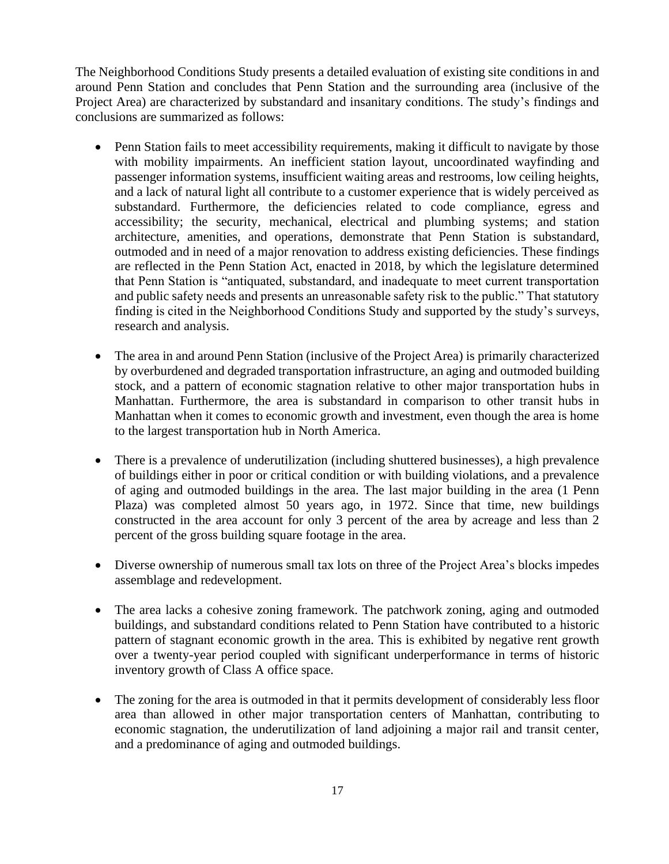The Neighborhood Conditions Study presents a detailed evaluation of existing site conditions in and around Penn Station and concludes that Penn Station and the surrounding area (inclusive of the Project Area) are characterized by substandard and insanitary conditions. The study's findings and conclusions are summarized as follows:

- Penn Station fails to meet accessibility requirements, making it difficult to navigate by those with mobility impairments. An inefficient station layout, uncoordinated wayfinding and passenger information systems, insufficient waiting areas and restrooms, low ceiling heights, and a lack of natural light all contribute to a customer experience that is widely perceived as substandard. Furthermore, the deficiencies related to code compliance, egress and accessibility; the security, mechanical, electrical and plumbing systems; and station architecture, amenities, and operations, demonstrate that Penn Station is substandard, outmoded and in need of a major renovation to address existing deficiencies. These findings are reflected in the Penn Station Act, enacted in 2018, by which the legislature determined that Penn Station is "antiquated, substandard, and inadequate to meet current transportation and public safety needs and presents an unreasonable safety risk to the public." That statutory finding is cited in the Neighborhood Conditions Study and supported by the study's surveys, research and analysis.
- The area in and around Penn Station (inclusive of the Project Area) is primarily characterized by overburdened and degraded transportation infrastructure, an aging and outmoded building stock, and a pattern of economic stagnation relative to other major transportation hubs in Manhattan. Furthermore, the area is substandard in comparison to other transit hubs in Manhattan when it comes to economic growth and investment, even though the area is home to the largest transportation hub in North America.
- There is a prevalence of underutilization (including shuttered businesses), a high prevalence of buildings either in poor or critical condition or with building violations, and a prevalence of aging and outmoded buildings in the area. The last major building in the area (1 Penn Plaza) was completed almost 50 years ago, in 1972. Since that time, new buildings constructed in the area account for only 3 percent of the area by acreage and less than 2 percent of the gross building square footage in the area.
- Diverse ownership of numerous small tax lots on three of the Project Area's blocks impedes assemblage and redevelopment.
- The area lacks a cohesive zoning framework. The patchwork zoning, aging and outmoded buildings, and substandard conditions related to Penn Station have contributed to a historic pattern of stagnant economic growth in the area. This is exhibited by negative rent growth over a twenty-year period coupled with significant underperformance in terms of historic inventory growth of Class A office space.
- The zoning for the area is outmoded in that it permits development of considerably less floor area than allowed in other major transportation centers of Manhattan, contributing to economic stagnation, the underutilization of land adjoining a major rail and transit center, and a predominance of aging and outmoded buildings.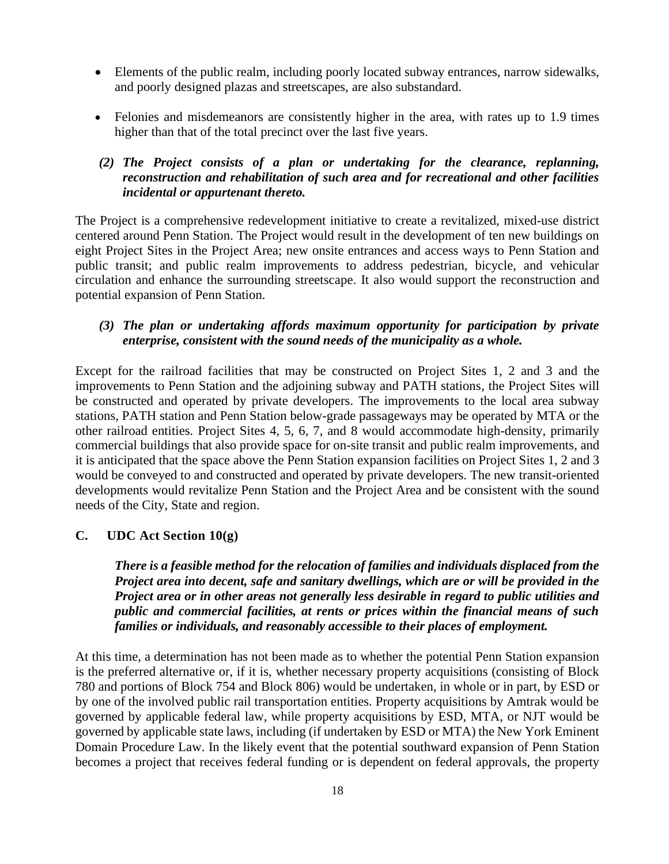- Elements of the public realm, including poorly located subway entrances, narrow sidewalks, and poorly designed plazas and streetscapes, are also substandard.
- Felonies and misdemeanors are consistently higher in the area, with rates up to 1.9 times higher than that of the total precinct over the last five years.

### *(2) The Project consists of a plan or undertaking for the clearance, replanning, reconstruction and rehabilitation of such area and for recreational and other facilities incidental or appurtenant thereto.*

The Project is a comprehensive redevelopment initiative to create a revitalized, mixed-use district centered around Penn Station. The Project would result in the development of ten new buildings on eight Project Sites in the Project Area; new onsite entrances and access ways to Penn Station and public transit; and public realm improvements to address pedestrian, bicycle, and vehicular circulation and enhance the surrounding streetscape. It also would support the reconstruction and potential expansion of Penn Station.

## *(3) The plan or undertaking affords maximum opportunity for participation by private enterprise, consistent with the sound needs of the municipality as a whole.*

Except for the railroad facilities that may be constructed on Project Sites 1, 2 and 3 and the improvements to Penn Station and the adjoining subway and PATH stations, the Project Sites will be constructed and operated by private developers. The improvements to the local area subway stations, PATH station and Penn Station below-grade passageways may be operated by MTA or the other railroad entities. Project Sites 4, 5, 6, 7, and 8 would accommodate high-density, primarily commercial buildings that also provide space for on-site transit and public realm improvements, and it is anticipated that the space above the Penn Station expansion facilities on Project Sites 1, 2 and 3 would be conveyed to and constructed and operated by private developers. The new transit-oriented developments would revitalize Penn Station and the Project Area and be consistent with the sound needs of the City, State and region.

## **C. UDC Act Section 10(g)**

*There is a feasible method for the relocation of families and individuals displaced from the Project area into decent, safe and sanitary dwellings, which are or will be provided in the Project area or in other areas not generally less desirable in regard to public utilities and public and commercial facilities, at rents or prices within the financial means of such families or individuals, and reasonably accessible to their places of employment.*

At this time, a determination has not been made as to whether the potential Penn Station expansion is the preferred alternative or, if it is, whether necessary property acquisitions (consisting of Block 780 and portions of Block 754 and Block 806) would be undertaken, in whole or in part, by ESD or by one of the involved public rail transportation entities. Property acquisitions by Amtrak would be governed by applicable federal law, while property acquisitions by ESD, MTA, or NJT would be governed by applicable state laws, including (if undertaken by ESD or MTA) the New York Eminent Domain Procedure Law. In the likely event that the potential southward expansion of Penn Station becomes a project that receives federal funding or is dependent on federal approvals, the property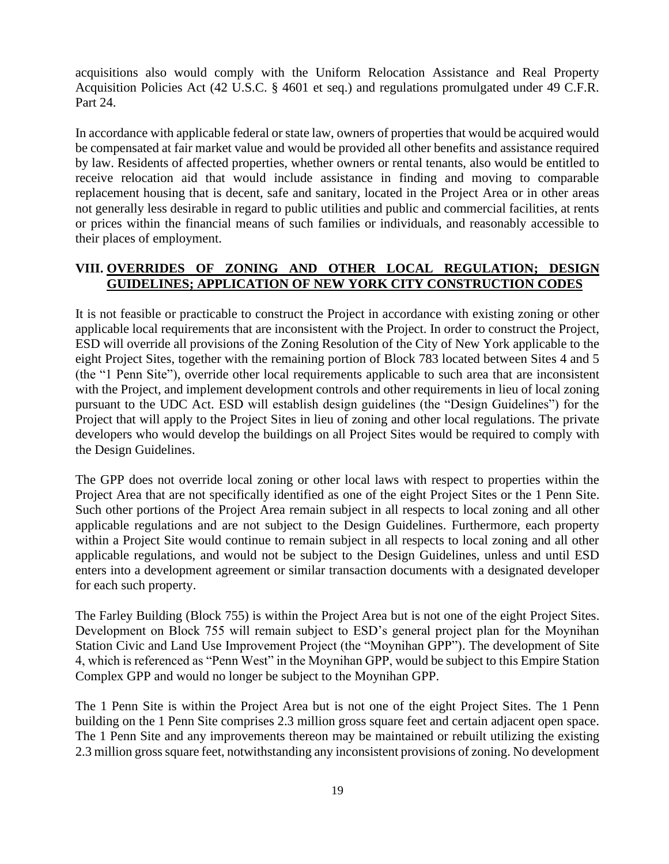acquisitions also would comply with the Uniform Relocation Assistance and Real Property Acquisition Policies Act (42 U.S.C. § 4601 et seq.) and regulations promulgated under 49 C.F.R. Part 24.

In accordance with applicable federal or state law, owners of properties that would be acquired would be compensated at fair market value and would be provided all other benefits and assistance required by law. Residents of affected properties, whether owners or rental tenants, also would be entitled to receive relocation aid that would include assistance in finding and moving to comparable replacement housing that is decent, safe and sanitary, located in the Project Area or in other areas not generally less desirable in regard to public utilities and public and commercial facilities, at rents or prices within the financial means of such families or individuals, and reasonably accessible to their places of employment.

### **VIII. OVERRIDES OF ZONING AND OTHER LOCAL REGULATION; DESIGN GUIDELINES; APPLICATION OF NEW YORK CITY CONSTRUCTION CODES**

It is not feasible or practicable to construct the Project in accordance with existing zoning or other applicable local requirements that are inconsistent with the Project. In order to construct the Project, ESD will override all provisions of the Zoning Resolution of the City of New York applicable to the eight Project Sites, together with the remaining portion of Block 783 located between Sites 4 and 5 (the "1 Penn Site"), override other local requirements applicable to such area that are inconsistent with the Project, and implement development controls and other requirements in lieu of local zoning pursuant to the UDC Act. ESD will establish design guidelines (the "Design Guidelines") for the Project that will apply to the Project Sites in lieu of zoning and other local regulations. The private developers who would develop the buildings on all Project Sites would be required to comply with the Design Guidelines.

The GPP does not override local zoning or other local laws with respect to properties within the Project Area that are not specifically identified as one of the eight Project Sites or the 1 Penn Site. Such other portions of the Project Area remain subject in all respects to local zoning and all other applicable regulations and are not subject to the Design Guidelines. Furthermore, each property within a Project Site would continue to remain subject in all respects to local zoning and all other applicable regulations, and would not be subject to the Design Guidelines, unless and until ESD enters into a development agreement or similar transaction documents with a designated developer for each such property.

The Farley Building (Block 755) is within the Project Area but is not one of the eight Project Sites. Development on Block 755 will remain subject to ESD's general project plan for the Moynihan Station Civic and Land Use Improvement Project (the "Moynihan GPP"). The development of Site 4, which is referenced as "Penn West" in the Moynihan GPP, would be subject to this Empire Station Complex GPP and would no longer be subject to the Moynihan GPP.

The 1 Penn Site is within the Project Area but is not one of the eight Project Sites. The 1 Penn building on the 1 Penn Site comprises 2.3 million gross square feet and certain adjacent open space. The 1 Penn Site and any improvements thereon may be maintained or rebuilt utilizing the existing 2.3 million gross square feet, notwithstanding any inconsistent provisions of zoning. No development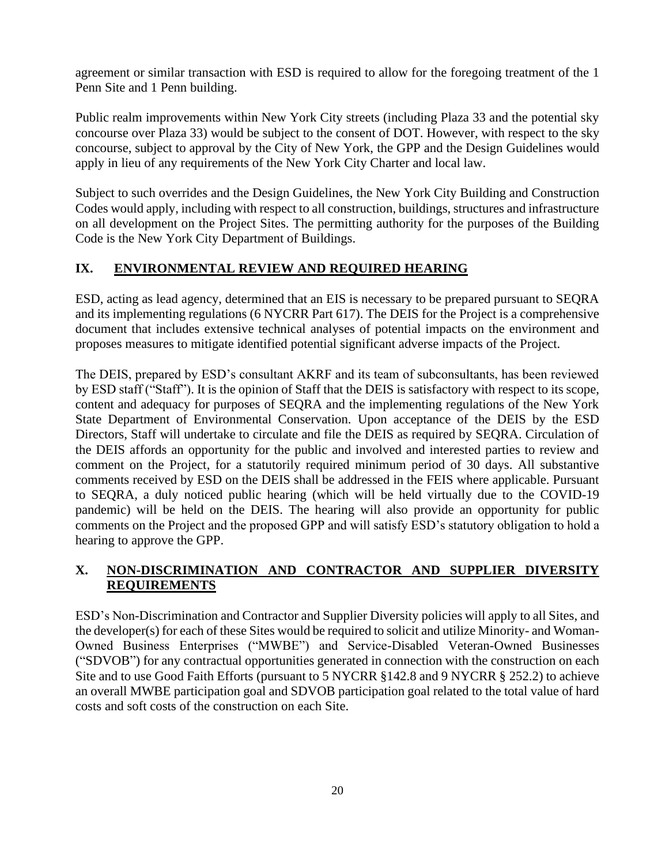agreement or similar transaction with ESD is required to allow for the foregoing treatment of the 1 Penn Site and 1 Penn building.

Public realm improvements within New York City streets (including Plaza 33 and the potential sky concourse over Plaza 33) would be subject to the consent of DOT. However, with respect to the sky concourse, subject to approval by the City of New York, the GPP and the Design Guidelines would apply in lieu of any requirements of the New York City Charter and local law.

Subject to such overrides and the Design Guidelines, the New York City Building and Construction Codes would apply, including with respect to all construction, buildings, structures and infrastructure on all development on the Project Sites. The permitting authority for the purposes of the Building Code is the New York City Department of Buildings.

## **IX. ENVIRONMENTAL REVIEW AND REQUIRED HEARING**

ESD, acting as lead agency, determined that an EIS is necessary to be prepared pursuant to SEQRA and its implementing regulations (6 NYCRR Part 617). The DEIS for the Project is a comprehensive document that includes extensive technical analyses of potential impacts on the environment and proposes measures to mitigate identified potential significant adverse impacts of the Project.

The DEIS, prepared by ESD's consultant AKRF and its team of subconsultants, has been reviewed by ESD staff ("Staff"). It is the opinion of Staff that the DEIS is satisfactory with respect to its scope, content and adequacy for purposes of SEQRA and the implementing regulations of the New York State Department of Environmental Conservation. Upon acceptance of the DEIS by the ESD Directors, Staff will undertake to circulate and file the DEIS as required by SEQRA. Circulation of the DEIS affords an opportunity for the public and involved and interested parties to review and comment on the Project, for a statutorily required minimum period of 30 days. All substantive comments received by ESD on the DEIS shall be addressed in the FEIS where applicable. Pursuant to SEQRA, a duly noticed public hearing (which will be held virtually due to the COVID-19 pandemic) will be held on the DEIS. The hearing will also provide an opportunity for public comments on the Project and the proposed GPP and will satisfy ESD's statutory obligation to hold a hearing to approve the GPP.

## **X. NON-DISCRIMINATION AND CONTRACTOR AND SUPPLIER DIVERSITY REQUIREMENTS**

ESD's Non-Discrimination and Contractor and Supplier Diversity policies will apply to all Sites, and the developer(s) for each of these Sites would be required to solicit and utilize Minority- and Woman-Owned Business Enterprises ("MWBE") and Service-Disabled Veteran-Owned Businesses ("SDVOB") for any contractual opportunities generated in connection with the construction on each Site and to use Good Faith Efforts (pursuant to 5 NYCRR §142.8 and 9 NYCRR § 252.2) to achieve an overall MWBE participation goal and SDVOB participation goal related to the total value of hard costs and soft costs of the construction on each Site.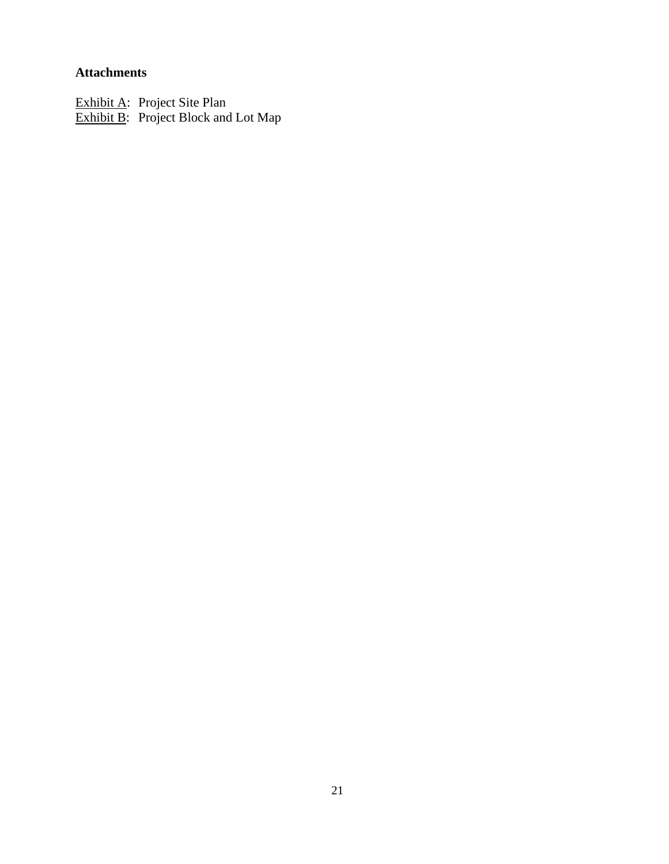## **Attachments**

Exhibit A: Project Site Plan **Exhibit B:** Project Block and Lot Map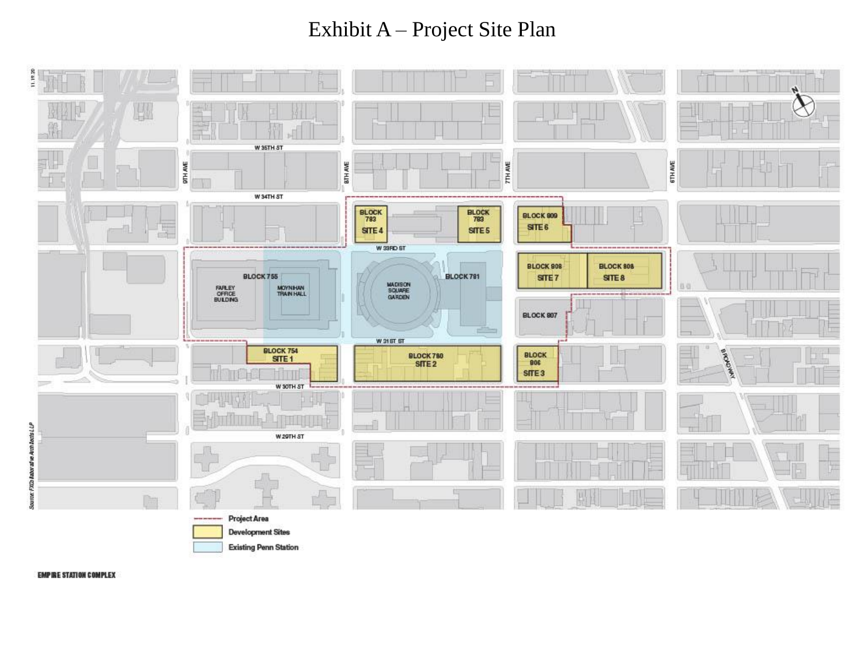# Exhibit A – Project Site Plan



**EMPIRE STATION COMPLEX**